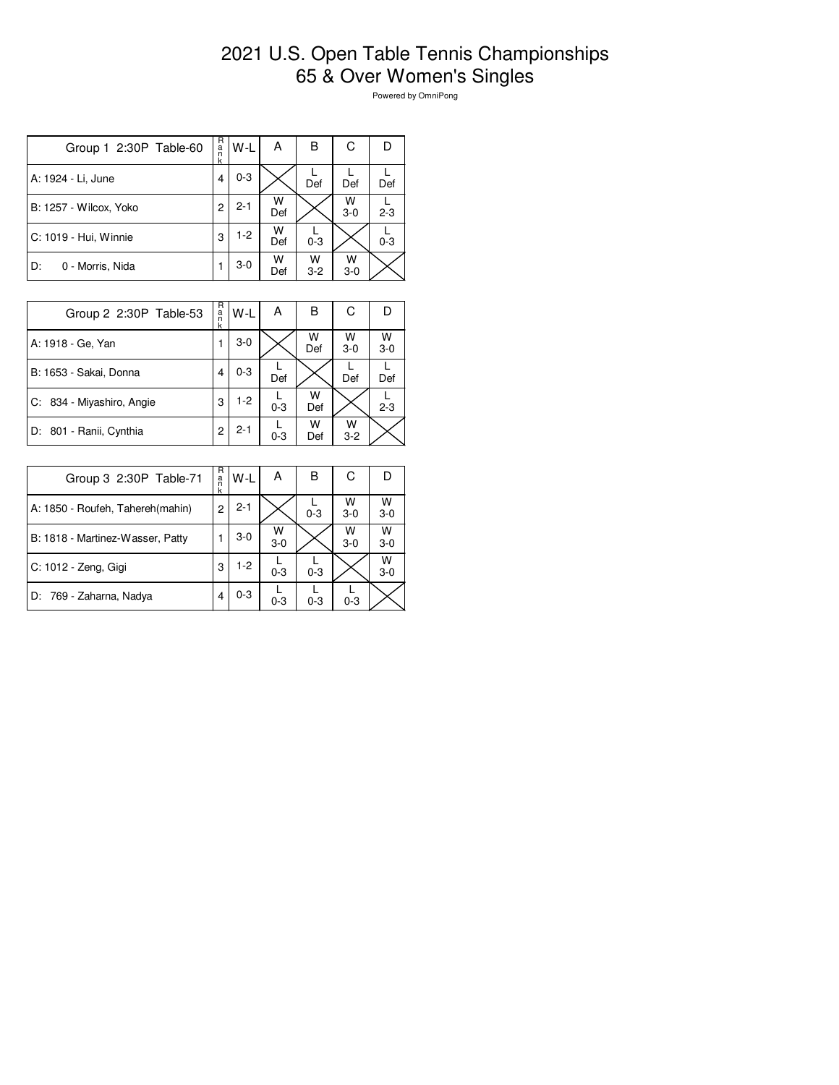## 2021 U.S. Open Table Tennis Championships 65 & Over Women's Singles

Powered by OmniPong

| Group 1 2:30P Table-60 | R<br>$\frac{a}{n}$<br>k | W-L     | А        | в          | С          |         |
|------------------------|-------------------------|---------|----------|------------|------------|---------|
| A: 1924 - Li, June     | 4                       | $0 - 3$ |          | Def        | Def        | Def     |
| B: 1257 - Wilcox, Yoko | 2                       | $2 - 1$ | W<br>Def |            | W<br>$3-0$ | $2 - 3$ |
| C: 1019 - Hui, Winnie  | 3                       | $1 - 2$ | W<br>Def | $0 - 3$    |            | $0 - 3$ |
| 0 - Morris, Nida<br>D: |                         | $3-0$   | W<br>Def | w<br>$3-2$ | W<br>$3-0$ |         |

| Group 2 2:30P Table-53    | R<br>a<br>n<br>k | W-L     | А       | в        | С          | D          |
|---------------------------|------------------|---------|---------|----------|------------|------------|
| A: 1918 - Ge, Yan         |                  | $3-0$   |         | W<br>Def | w<br>$3-0$ | W<br>$3-0$ |
| B: 1653 - Sakai, Donna    | 4                | $0 - 3$ | Def     |          | Def        | Def        |
| C: 834 - Miyashiro, Angie | 3                | $1-2$   | $0 - 3$ | w<br>Def |            | $2 - 3$    |
| D: 801 - Ranii, Cynthia   | 2                | $2 - 1$ | $0 - 3$ | w<br>Def | w<br>$3-2$ |            |

| Group 3 2:30P Table-71           | R<br>a<br>k | W-L     | А          | в       | С          |            |
|----------------------------------|-------------|---------|------------|---------|------------|------------|
| A: 1850 - Roufeh, Tahereh(mahin) | 2           | $2 - 1$ |            | $0 - 3$ | W<br>$3-0$ | W<br>$3-0$ |
| B: 1818 - Martinez-Wasser, Patty |             | $3-0$   | W<br>$3-0$ |         | W<br>$3-0$ | w<br>$3-0$ |
| C: 1012 - Zeng, Gigi             | 3           | $1-2$   | $0 - 3$    | $0 - 3$ |            | w<br>$3-0$ |
| D: 769 - Zaharna, Nadya          | 4           | $0 - 3$ | $0 - 3$    | $0 - 3$ | $0 - 3$    |            |